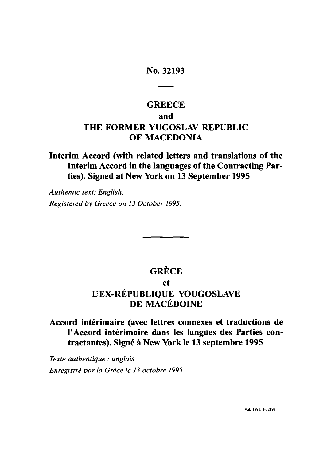### No. **32193**

# **GREECE** and THE FORMER **YUGOSLAV** REPUBLIC OF **MACEDONIA**

### Interim Accord (with related letters and translations of the Interim Accord in the languages of the Contracting Parties). Signed at New York on **13** September **1995**

*Authentic text: English. Registered by Greece on 13 October 1995.*

# **GRECE**

### et

## **UEX-RÉPUBLIQUE YOUGOSLAVE DE MACEDOINE**

## Accord interimaire (avec lettres connexes et traductions de l'Accord intérimaire dans les langues des Parties contractantes). Signé à New York le 13 septembre 1995

*Texte authentique: anglais. Enregistré par la Grèce le 13 octobre 1995.*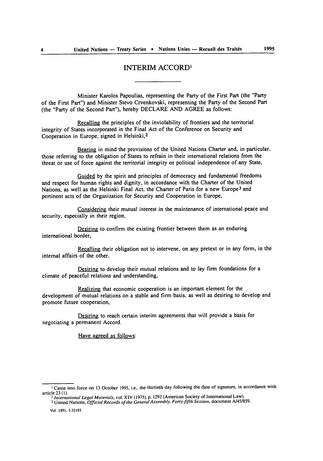### INTERIM ACCORD'

Minister Karolos Papoulias, representing the Party of the First Part (the "Party of the First Part") and Minister Stevo Crvenkovski, representing the Party of the Second Part (the "Party of the Second Par"), hereby DECLARE **AND** AGREE as follows:

Recalling the principles of the inviolability of frontiers and the territorial integrity of States incorporated in the Final Act of the Conference on Security and Cooperation in Europe, signed in Helsinki,<sup>2</sup>

Bearing in mind the provisions of the United Nations Charter and, in particular, those referring to the obligation of States to refrain in their international relations from the threat or use of force against the territorial integrity or political independence of any State,

Guided **by** the spirit and principles of democracy and fundamental freedoms and respect for human rights and dignity, in accordance with the Charter of the United Nations, as well as the Helsinki Final Act, the Charter of Paris for a new Europe3 and pertinent acts of the Organization for Security and Cooperation in Europe,

Considering their mutual interest in the maintenance of international peace and security, especially in their region.

Desiring to confirm the existing frontier between them as an enduring international border,

Recalling their obligation not to intervene, on any pretext or in any form, in the internal affairs of the other,

Desiring to develop their mutual relations and to lay firm foundations for a climate of peaceful relations and understanding,

Realizing that economic cooperation is an important element for the development of mutual relations on a stable and firm basis, as well as desiring to develop and promote future cooperation,

Desiring to reach certain interim agreements that will provide a basis for negotiating a permanent Accord.

Have agreed as follows:

<sup>&</sup>lt;sup>1</sup> Came into force on 13 October 1995, i.e., the thirtieth day following the date of signature, in accordance with article 23 (1). article **23 (1).** <sup>2</sup>*International Legal Materials,* vol. XIV **(1975), p. 1292** (American Society of International Law).

**<sup>3</sup>**United Nations, *Official Records of the GeneralAssembly, Forty-fifth Session,* document **A/45/859.**

Vol **1891, 1-32193**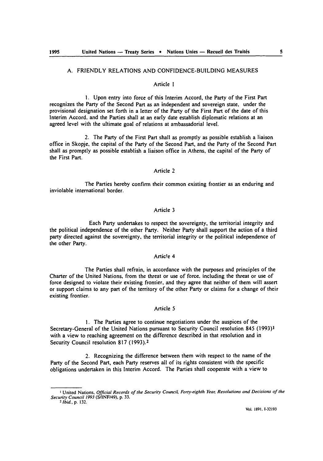#### A. FRIENDLY **RELATIONS AND** CONFIDENCE-BUILDING MEASURES

#### Article **I**

**1.** Upon entry into force of this Interim Accord, the Party of the First Part recognizes the Party of the Second Part as an independent and sovereign state, under the provisional designation set forth in a letter of the Party of the First Part of the date of this Interim Accord. and the Parties shall at an early date establish diplomatic relations at an agreed level with the ultimate goal of relations at ambassadorial level.

2. The Party of the First Part shall as promptly as possible establish a liaison office in Skopje, the capital of the Party of the Second Part, and the Party of the Second Part shall as promptly as possible establish a liaison office in Athens, the capital of the Party of the First Part.

#### Article 2

The Parties hereby confirm their common existing frontier as an enduring and inviolable international border.

#### Article 3

Each Party undertakes to respect the sovereignty, the territorial integrity and the political independence of the other Party. Neither Party shall support the action of a third party directed against the sovereignty, the territorial integrity or the political independence of the other Party.

#### Artic!e 4

The Parties shall refrain, in accordance with the purposes and principles of the Charter of the United Nations, from the threat or use of force, including the threat or use of force designed to violate their existing frontier, and they agree that neither of them will assert or support claims to any part of the territory of the other Party or claims **for** a change of their existing frontier.

#### Article 5

**I.** The Parties agree to continue negotiations under the auspices of the Secretary-General of the United Nations pursuant to Security Council resolution 845 **(1993)1** with a view to reaching agreement on the difference described in that resolution and in Security Council resolution 817 **(1993).2**

2. Recognizing the difference between them with respect to the name of the Party of the Second Part, each Party reserves all of its rights consistent with the specific obligations undertaken in this Interim Accord. The Parties shall cooperate with a view to

**I** United Nations, *Official* Records of the Security Council, Forty-eighth Year, Resolutions and Decisions of the Security Council 1993 (S/INF/49), p. 33.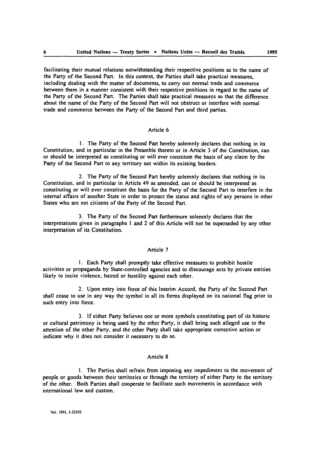facilitating their mutual relations notwithstanding their respective positions as to the name of the Party of the Second Part. In this context, the Parties shall take practical measures, including dealing with the matter of documents, to carry out normal trade and commerce between them in a manner consistent with their respective positions in regard to the name of the Party of the Second Part. The Parties shall take practical measures **so** that the difference about the name of the Party of the Second Part will not obstruct or interfere with normal trade and commerce between the Party of the Second Part and third parties.

#### Article **6**

**I.** The Party of the Second Part hereby solemnly declares that nothing in its Constitution, and in particular in the Preamble thereto or in Article 3 of the Constitution, can or should be interpreted as constituting or will ever constitute the basis of any claim by the Party of the Second Part to any territory not within its existing borders.

2. The Party of the Second Part hereby solemnly declares that nothing in its Constitution, and in particular in Article 49 as amended, can or should be interpreted as constituting or will ever constitute the basis for the Party of the Second Part to interfere in the internal affairs of another State in order to protect the status and rights of any persons in other States who are not citizens of the Party of the Second Part.

**3.** The Party of the Second Part furthermore solemnly declares that the interpretations given in paragraphs **I** and 2 of this Article will not be superseded **by** any other interpretation of its Constitution.

#### Article **7**

**I.** Each Party shall promptly take effective measures to prohibit hostile activities or propaganda **by** State-controlled agencies and to discourage acts **by** private entities likely to incite violence, hatred or hostility against each other.

2. Upon entry into force of this Interim Accord, the Party of the Second Part shall cease to use in any way the symbol in all its forms displayed on its national flag prior to such entry into force.

**3. If** either Party believes one or more symbols constituting part of its historic or cultural patrimony is being used **by** the other Party, it shall bring such alleged use to the attention of the other Party, and the other Party shall take appropriate corrective action or indicate why it does not consider it necessary to do so.

#### Article **8**

**I.** The Parties shall refrain from imposing any impediment to the movement of people or goods between their territories or through the territory of either Party to the territory of the other. Both Parties shall cooperate to facilitate such movements in accordance with international law and custom.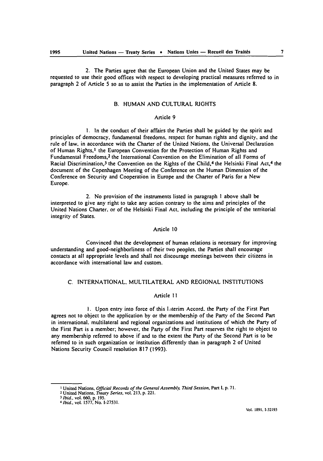2. The Parties agree that the European Union and the United States may be requested to use their good offices with respect to developing practical measures referred to in paragraph 2 of Article 5 so as to assist the Parties in the implementation of Article **8.**

#### B. HUMAN AND CULTURAL RIGHTS

#### Article 9

**1.** In the conduct of their affairs the Parties shall be guided by the spirit and principles of democracy, fundamental freedoms, respect for human rights and dignity, and the rule of law, in accordance with the Charter of the United Nations, the Universal Declaration of Human Rights,<sup>1</sup> the European Convention for the Protection of Human Rights and Fundamental Freedoms,<sup>2</sup> the International Convention on the Elimination of all Forms of Racial Discrimination,<sup>3</sup> the Convention on the Rights of the Child,<sup>4</sup> the Helsinki Final Act,<sup>4</sup> the document of the Copenhagen Meeting of the Conference on the Human Dimension of the Conference on Security and Cooperation in Europe and the Charter of Paris for a New Europe.

2. No provision of the instruments listed in paragraph I above shall be interpreted to give any right to take any action contrary to the aims and principles of the United Nations Charter, or of the Helsinki Final Act, including the principle of the territorial integrity of States.

#### Article **10**

Convinced that the development of human relations is necessary for improving understanding and good-neighborliness of their two peoples, the Parties shall encourage contacts at all appropriate levels and shall not discourage meetings between their citizens in accordance with international law and custom.

#### C. INTERNATIONAL, MULTILATERAL AND REGIONAL INSTITUTIONS

#### Article I **I**

I. Upon entry into force of this laterim Accord. the Party of the First Part agrees not to object to the application by or the membership of the Party of the Second Part in international, multilateral and regional organizations and institutions of which the Party of the First Part is a member; however, the Party of the First Part reserves the right to object to any membership referred to above if and to the extent the Party of the Second Part is to be referred to in such organization or institution differently than in paragraph 2 of United Nations Security Council resolution **817** (1993).

**<sup>1</sup>**United Nations, **Official Records** *of the General Assembly, Third Session,* Part **1, p. 71. <sup>2</sup>**United Nations, **Treaty Series,** vol. **213, p.** 221.

*<sup>3</sup>Ibid.,* **vol. 660, p. 195.** <sup>4</sup>*Ibid* vol. **1577,** No. **1-27531.**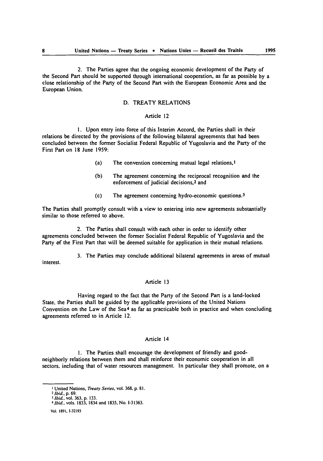2. The Parties agree that the ongoing economic development of the Party of the Second Part should be supported through international cooperation, as far as possible by a close relationship of the Party of the Second Part with the European Economic Area and the European Union.

#### **D.** TREATY RELATIONS

#### Article 12

**1.** Upon entry into force of this Interim Accord, the Parties shall in their relations be directed **by** the provisions of the following bilateral agreements that had been concluded between the former Socialist Federal Republic of Yugoslavia and the Party of the First Part on **18** June 1959:

- (a) The convention concerning mutual legal relations, <sup>1</sup>
- **(b)** The agreement concerning the reciprocal recognition and the enforcement of judicial decisions,2 and
- (c) The agreement concerning hydro-economic questions. <sup>3</sup>

The Parties shall promptly consult with a view to entering into new agreements substantially similar to those referred to above.

2. The Parties shall consult with each other in order to identify other agreements concluded between the former Socialist Federal Republic of Yugoslavia and the Party of the First Part that will be deemed suitable for application in their mutual relations.

3. The Parties may conclude additional bilateral agreements in areas of mutual interest.

#### Article 13

Having regard to the fact that the Party of the Second Part is a land-locked State. the Parties shall be guided **by** the applicable provisions of the United Nations Convention on the Law of the Sea<sup>4</sup> as far as practicable both in practice and when concluding agreements referred to in Article 12.

#### Article 14

**I.** The Parties shall encourage the development of friendly and goodneighborly relations between them and shall reinforce their economic cooperation in all sectors, including that of water resources management. In particular they shall promote, on a

**I** United Nations, *Treaty Series,* vol. **368,** p. **81.**

*<sup>2</sup> Ibid.,* p. 69.

*<sup>3</sup>Ibid,* vol. **363,** p. **133.** *4 Ibid.,* vols. **1833,** 1834 and **1835,** No. **1-31363.**

Vol. **1891, 1-32193**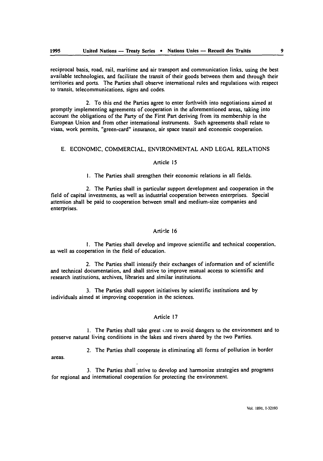reciprocal basis, road, rail, maritime and air transport and communication links, using the best available technologies, and facilitate the transit of their goods between them and through their territories and ports. The Parties shall observe international rules and regulations with respect to transit, telecommunications, signs and codes.

2. To this end the Parties agree to enter forthwith into negotiations aimed at promptly implementing agreements of cooperation in the aforementioned areas, taking into account the obligations of the Party of the First Part deriving from its membership in the European Union and from other international instruments. Such agreements shall relate to visas, work permits, "green-card" insurance, air space transit and economic cooperation.

#### **E. ECONOMIC,** COMMERCIAL, **ENVIRONMENTAL AND LEGAL RELATIONS**

#### Article **15**

**I.** The Parties shall strengthen their economic relations in all fields.

2. The Parties shall in particular support development and cooperation in the field of capital investments, as well as industrial cooperation between enterprises. Special attention shall be paid to cooperation between small and medium-size companies and enterprises.

#### Article **16**

**I.** The Parties shall develop and improve scientific and technical cooperation. as well as cooperation in the field of education.

2. The Parties shall intensify their exchanges of information and of scientific and technical documentation, and shall strive to improve mutual access to scientific and research institutions, archives, libraries and similar institutions.

**3.** The Parties shall support initiatives **by** scientific institutions and **by** individuals aimed at improving cooperation in the sciences.

#### Article **17**

I. The Parties shall take great c.are to avoid dangers to the environment and to preserve natural living conditions in the lakes and rivers shared **by** the two Parties.

2. The Parties shall cooperate in eliminating all forms of pollution in border

areas.

**3.** The Parties shall strive to develop and harmonize strategies and programs **for** regional and international cooperation for protecting the environment.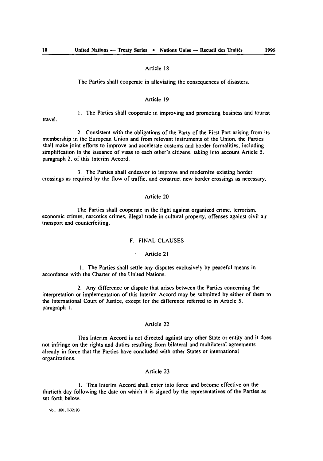#### Article **18**

The Parties shall cooperate in alleviating the consequences of disasters.

#### Article **19**

**1.** The Parties shall cooperate in improving and promoting business and tourist travel.

2. Consistent with the obligations of the Party of the First Part arising from its membership in the European Union and from relevant instruments of the Union, the Parties shall make joint efforts to improve and accelerate customs and border formalities, including simplification in the issuance of visas to each other's citizens, taking into account Article **5.** paragraph 2. of this Interim Accord.

3. The Parties shall endeavor to improve and modernize existing border crossings as required **by** the flow of traffic, and construct new border crossings as necessary.

#### Article 20

The Parties shall cooperate in the fight against organized crime, terrorism, economic crimes, narcotics crimes, illegal trade in cultural property, offenses against civil air transport and counterfeiting.

#### F. **FINAL** CLAUSES

#### Article 21

I. The Parties shall settle any disputes exclusively by peaceful means in accordance with the Charter of the United Nations.

2. Any difference or dispute that arises between the Parties concerning the interpretation or implementation of this Interim Accord may be submitted by either of them to the International Court of Justice, except fcr the difference referred to in Article 5. paragraph I.

#### Article 22

This Interim Accord is not directed against any other State or entity and it does not infringe on the rights and duties resulting from bilateral and multilateral agreements already in force that the Parties have concluded with other States or international organizations.

### Article 23

I. This Interim Accord shall enter into force and become effective on the thirtieth day following the date on which it is signed by the representatives of the Parties as set forth below.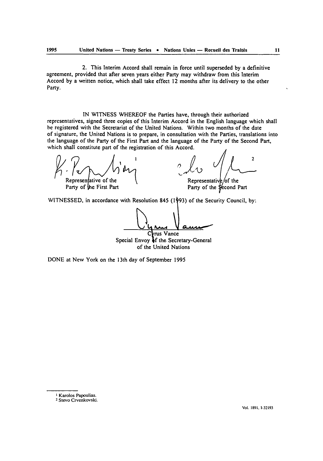2. This Interim Accord shall remain in force until superseded **by** a definitive agreement, provided that after seven years either Party may withdraw from this Interim Accord **by** a written notice, which shall take effect 12 months after its delivery to the other Party.

**IN WITNESS** WHEREOF the Parties have, through their authorized representatives, signed three copies of this Interim Accord in the English language which shall **be** registered with the Secretariat of the United Nations. Within two months of the date of signature, the United Nations is to prepare, in consultation with the Parties, translations into the language of the Party of the First Part and the language of the Party of the Second Part, which shall constitute part of the registration of this Accord.

 $\mathcal{P}_{\text{Representative of the}}$ tive of the  $\bigwedge_{\text{f the right}}^{\text{r}}$ 

n re er me<br>e First Part

<sup>1</sup><br>
1<br>
<sup>2</sup> <sup>2</sup> 2<br>
<sup>2</sup> Representative of the<br>
Party of the Second Par  $\overline{2}$ *,'3*

Representative/of the Party of the Second Part

**WITNESSED,** in accordance with Resolution 845 **(1 93)** of the Security Council, **by:**

rus Vance

Special Envoy 4f the Secretary-General of the United Nations

**DONE** at New York on the 13th day of September **1995**

**<sup>1</sup>** Karolos Papoulias. **2** Stevo Crvenkovski.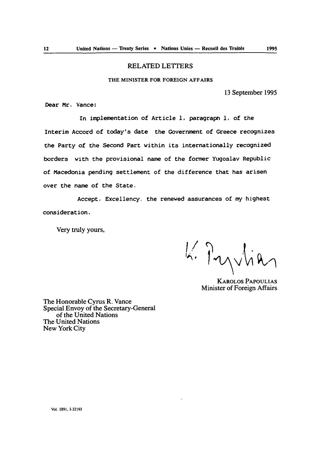#### RELATED LETTERS

#### **THE MINISTER FOR FOREIGN AFFAIRS**

**13** September 1995

Dear Mr. Vance:

In implementation of Article **I,** paragraph **1,** of the Interim Accord of today's date the Government of Greece recognizes the Party of the Second Part within its internationally recognized borders with the provisional name of the former Yugoslav Republic of Macedonia pending settlement of the difference that has arisen over the name of the State.

Accept, Excellency. the renewed assurances of my highest consideration.

Very truly yours,

K. Pryvlic

KAROLOS **PAPOULIAS** Minister of Foreign Affairs

The Honorable Cyrus R. Vance Special Envoy of the Secretary-General of the United Nations The United Nations New York City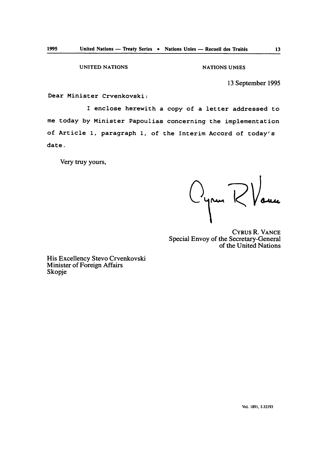**UNITED NATIONS NATIONS** 

**13** September 1995

Dear Minister Crvenkovski:

I enclose herewith a copy of a letter addressed to me today by Minister Papoulias concerning the implementation of Article **1,** paragraph **1,** of the Interim Accord of today's date.

Very truy yours,

Oyren RVauce

CYRUS R. VANCE Special Envoy of the Secretary-General of the United Nations

His Excellency Stevo Crvenkovski Minister of Foreign Affairs Skopje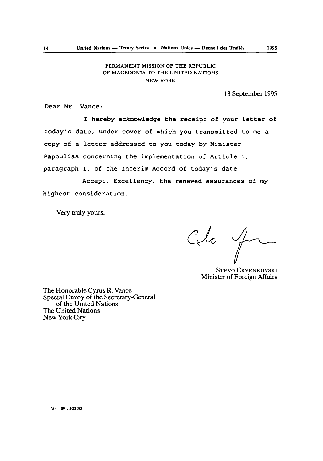#### **PERMANENT MISSION OF THE REPUBLIC** OF **MACEDONIA TO THE UNITED NATIONS NEW** YORK

13 September 1995

Dear Mr. Vance:

I hereby acknowledge the receipt of your letter of today's date, under cover of which you transmitted to me a copy of a letter addressed to you today **by** Minister Papoulias concerning the implementation of Article **1,** paragraph **1,** of the Interim Accord of today's date.

Accept, Excellency, the renewed assurances of my highest consideration.

Very truly yours,

Cita y

STEVO CRVENKOVSKI Minister of Foreign Affairs

The Honorable Cyrus R. Vance Special Envoy of the Secretary-General of the United Nations The United Nations New York City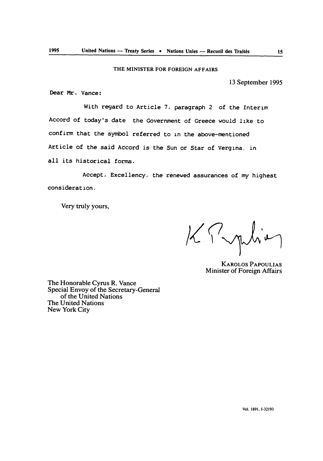#### THE MINISTER **FOR FOREIGN** AFFAIRS

**13** September 1995

Dear Mr. Vance:

With regard to Article 7, paragraph 2 of the Interim Accord of today's date the Government of Greece would like to confirm that the symbol referred to in the above-mentioned Article of the said Accord is the Sun or Star of Vergina. in all its historical forms.

Accept, Excellency, the renewed assurances of my highest consideration.

Very truly yours,

KPmhie

KAROLOS **PAPOULIAS** Minister of Foreign Affairs

The Honorable Cyrus R. Vance Special Envoy of the Secretary-General of the United Nations The United Nations New York City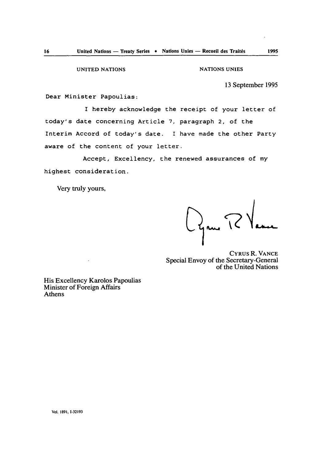**UNITED NATIONS** NATIONS UNIES

**13** September **1995**

Dear Minister Papoulias:

I hereby acknowledge the receipt of your letter of today's date concerning Article **7,** paragraph 2, of the Interim Accord of today's date. I have made the other Party aware of the content of your letter.

Accept, Excellency, the renewed assurances of my highest consideration.

Very truly yours,

Ogne TP Vance

CYRUS R. VANCE Special Envoy of the Secretary-General of the United Nations

His Excellency Karolos Papoulias Minister of Foreign Affairs Athens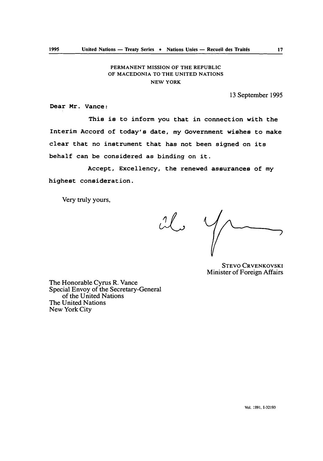#### **PERMANENT MISSION** OF THE REPUBLIC OF **MACEDONIA** TO THE **UNITED NATIONS NEW** YORK

**13** September **1995**

Dear Mr. Vance:

This is to inform you that in connection with the Interim Accord of today's date, my Government wishes to make clear that no instrument that has not been signed on its behalf can be considered as binding on it.

Accept, Excellency, the renewed assurances of my highest consideration.

Very truly yours,

 $26$ 

STEVO CRVENKOVSKI Minister of Foreign Affairs

The Honorable Cyrus R. Vance Special Envoy of the Secretary-General of the United Nations The United Nations New York City